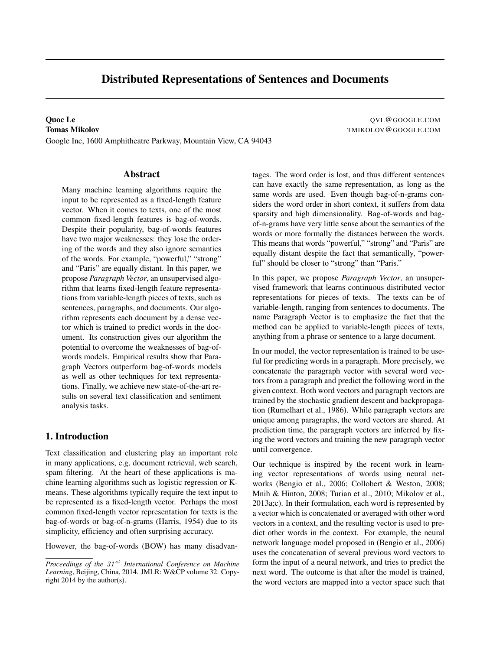# Distributed Representations of Sentences and Documents

Google Inc, 1600 Amphitheatre Parkway, Mountain View, CA 94043

**Quoc Le** QVL@GOOGLE.COM **Tomas Mikolov TMIKOLOV** COOGLE.COM

### Abstract

Many machine learning algorithms require the input to be represented as a fixed-length feature vector. When it comes to texts, one of the most common fixed-length features is bag-of-words. Despite their popularity, bag-of-words features have two major weaknesses: they lose the ordering of the words and they also ignore semantics of the words. For example, "powerful," "strong" and "Paris" are equally distant. In this paper, we propose *Paragraph Vector*, an unsupervised algorithm that learns fixed-length feature representations from variable-length pieces of texts, such as sentences, paragraphs, and documents. Our algorithm represents each document by a dense vector which is trained to predict words in the document. Its construction gives our algorithm the potential to overcome the weaknesses of bag-ofwords models. Empirical results show that Paragraph Vectors outperform bag-of-words models as well as other techniques for text representations. Finally, we achieve new state-of-the-art results on several text classification and sentiment analysis tasks.

#### 1. Introduction

Text classification and clustering play an important role in many applications, e.g, document retrieval, web search, spam filtering. At the heart of these applications is machine learning algorithms such as logistic regression or Kmeans. These algorithms typically require the text input to be represented as a fixed-length vector. Perhaps the most common fixed-length vector representation for texts is the bag-of-words or bag-of-n-grams (Harris, 1954) due to its simplicity, efficiency and often surprising accuracy.

However, the bag-of-words (BOW) has many disadvan-

tages. The word order is lost, and thus different sentences can have exactly the same representation, as long as the same words are used. Even though bag-of-n-grams considers the word order in short context, it suffers from data sparsity and high dimensionality. Bag-of-words and bagof-n-grams have very little sense about the semantics of the words or more formally the distances between the words. This means that words "powerful," "strong" and "Paris" are equally distant despite the fact that semantically, "powerful" should be closer to "strong" than "Paris."

In this paper, we propose *Paragraph Vector*, an unsupervised framework that learns continuous distributed vector representations for pieces of texts. The texts can be of variable-length, ranging from sentences to documents. The name Paragraph Vector is to emphasize the fact that the method can be applied to variable-length pieces of texts, anything from a phrase or sentence to a large document.

In our model, the vector representation is trained to be useful for predicting words in a paragraph. More precisely, we concatenate the paragraph vector with several word vectors from a paragraph and predict the following word in the given context. Both word vectors and paragraph vectors are trained by the stochastic gradient descent and backpropagation (Rumelhart et al., 1986). While paragraph vectors are unique among paragraphs, the word vectors are shared. At prediction time, the paragraph vectors are inferred by fixing the word vectors and training the new paragraph vector until convergence.

Our technique is inspired by the recent work in learning vector representations of words using neural networks (Bengio et al., 2006; Collobert & Weston, 2008; Mnih & Hinton, 2008; Turian et al., 2010; Mikolov et al., 2013a;c). In their formulation, each word is represented by a vector which is concatenated or averaged with other word vectors in a context, and the resulting vector is used to predict other words in the context. For example, the neural network language model proposed in (Bengio et al., 2006) uses the concatenation of several previous word vectors to form the input of a neural network, and tries to predict the next word. The outcome is that after the model is trained, the word vectors are mapped into a vector space such that

*Proceedings of the 31<sup>st</sup> International Conference on Machine Learning*, Beijing, China, 2014. JMLR: W&CP volume 32. Copyright 2014 by the author(s).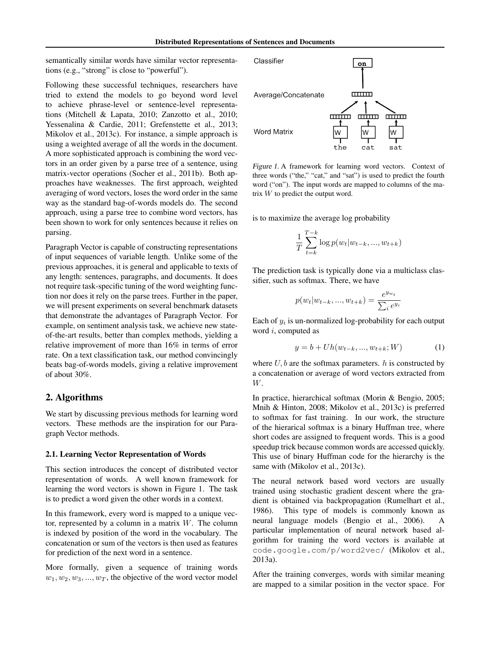semantically similar words have similar vector representations (e.g., "strong" is close to "powerful").

Following these successful techniques, researchers have tried to extend the models to go beyond word level to achieve phrase-level or sentence-level representations (Mitchell & Lapata, 2010; Zanzotto et al., 2010; Yessenalina & Cardie, 2011; Grefenstette et al., 2013; Mikolov et al., 2013c). For instance, a simple approach is using a weighted average of all the words in the document. A more sophisticated approach is combining the word vectors in an order given by a parse tree of a sentence, using matrix-vector operations (Socher et al., 2011b). Both approaches have weaknesses. The first approach, weighted averaging of word vectors, loses the word order in the same way as the standard bag-of-words models do. The second approach, using a parse tree to combine word vectors, has been shown to work for only sentences because it relies on parsing.

Paragraph Vector is capable of constructing representations of input sequences of variable length. Unlike some of the previous approaches, it is general and applicable to texts of any length: sentences, paragraphs, and documents. It does not require task-specific tuning of the word weighting function nor does it rely on the parse trees. Further in the paper, we will present experiments on several benchmark datasets that demonstrate the advantages of Paragraph Vector. For example, on sentiment analysis task, we achieve new stateof-the-art results, better than complex methods, yielding a relative improvement of more than 16% in terms of error rate. On a text classification task, our method convincingly beats bag-of-words models, giving a relative improvement of about 30%.

### 2. Algorithms

We start by discussing previous methods for learning word vectors. These methods are the inspiration for our Paragraph Vector methods.

#### 2.1. Learning Vector Representation of Words

This section introduces the concept of distributed vector representation of words. A well known framework for learning the word vectors is shown in Figure 1. The task is to predict a word given the other words in a context.

In this framework, every word is mapped to a unique vector, represented by a column in a matrix  $W$ . The column is indexed by position of the word in the vocabulary. The concatenation or sum of the vectors is then used as features for prediction of the next word in a sentence.

More formally, given a sequence of training words  $w_1, w_2, w_3, ..., w_T$ , the objective of the word vector model



Figure 1. A framework for learning word vectors. Context of three words ("the," "cat," and "sat") is used to predict the fourth word ("on"). The input words are mapped to columns of the matrix W to predict the output word.

is to maximize the average log probability

$$
\frac{1}{T} \sum_{t=k}^{T-k} \log p(w_t | w_{t-k}, ..., w_{t+k})
$$

The prediction task is typically done via a multiclass classifier, such as softmax. There, we have

$$
p(w_t|w_{t-k},...,w_{t+k}) = \frac{e^{y_{w_t}}}{\sum_i e^{y_i}}
$$

Each of  $y_i$  is un-normalized log-probability for each output word i, computed as

$$
y = b + Uh(w_{t-k}, ..., w_{t+k}; W)
$$
 (1)

where  $U, b$  are the softmax parameters. h is constructed by a concatenation or average of word vectors extracted from W.

In practice, hierarchical softmax (Morin & Bengio, 2005; Mnih & Hinton, 2008; Mikolov et al., 2013c) is preferred to softmax for fast training. In our work, the structure of the hierarical softmax is a binary Huffman tree, where short codes are assigned to frequent words. This is a good speedup trick because common words are accessed quickly. This use of binary Huffman code for the hierarchy is the same with (Mikolov et al., 2013c).

The neural network based word vectors are usually trained using stochastic gradient descent where the gradient is obtained via backpropagation (Rumelhart et al., 1986). This type of models is commonly known as neural language models (Bengio et al., 2006). A particular implementation of neural network based algorithm for training the word vectors is available at code.google.com/p/word2vec/ (Mikolov et al., 2013a).

After the training converges, words with similar meaning are mapped to a similar position in the vector space. For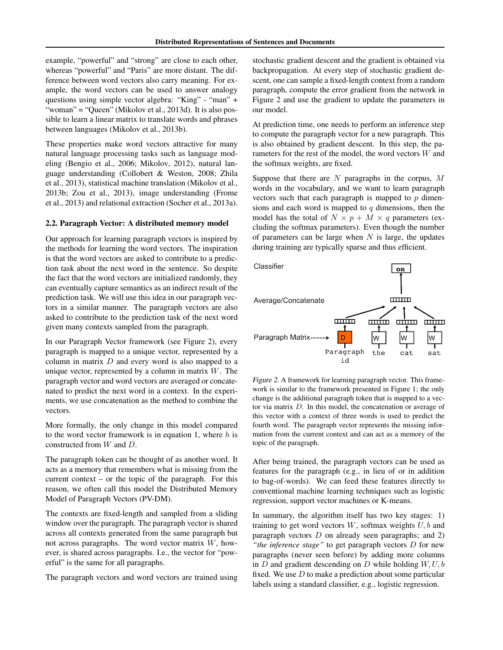example, "powerful" and "strong" are close to each other, whereas "powerful" and "Paris" are more distant. The difference between word vectors also carry meaning. For example, the word vectors can be used to answer analogy questions using simple vector algebra: "King" - "man" + "woman" = "Queen" (Mikolov et al., 2013d). It is also possible to learn a linear matrix to translate words and phrases between languages (Mikolov et al., 2013b).

These properties make word vectors attractive for many natural language processing tasks such as language modeling (Bengio et al., 2006; Mikolov, 2012), natural language understanding (Collobert & Weston, 2008; Zhila et al., 2013), statistical machine translation (Mikolov et al., 2013b; Zou et al., 2013), image understanding (Frome et al., 2013) and relational extraction (Socher et al., 2013a).

#### 2.2. Paragraph Vector: A distributed memory model

Our approach for learning paragraph vectors is inspired by the methods for learning the word vectors. The inspiration is that the word vectors are asked to contribute to a prediction task about the next word in the sentence. So despite the fact that the word vectors are initialized randomly, they can eventually capture semantics as an indirect result of the prediction task. We will use this idea in our paragraph vectors in a similar manner. The paragraph vectors are also asked to contribute to the prediction task of the next word given many contexts sampled from the paragraph.

In our Paragraph Vector framework (see Figure 2), every paragraph is mapped to a unique vector, represented by a column in matrix  $D$  and every word is also mapped to a unique vector, represented by a column in matrix  $W$ . The paragraph vector and word vectors are averaged or concatenated to predict the next word in a context. In the experiments, we use concatenation as the method to combine the vectors.

More formally, the only change in this model compared to the word vector framework is in equation 1, where  $h$  is constructed from W and D.

The paragraph token can be thought of as another word. It acts as a memory that remembers what is missing from the current context – or the topic of the paragraph. For this reason, we often call this model the Distributed Memory Model of Paragraph Vectors (PV-DM).

The contexts are fixed-length and sampled from a sliding window over the paragraph. The paragraph vector is shared across all contexts generated from the same paragraph but not across paragraphs. The word vector matrix W, however, is shared across paragraphs. I.e., the vector for "powerful" is the same for all paragraphs.

The paragraph vectors and word vectors are trained using

stochastic gradient descent and the gradient is obtained via backpropagation. At every step of stochastic gradient descent, one can sample a fixed-length context from a random paragraph, compute the error gradient from the network in Figure 2 and use the gradient to update the parameters in our model.

At prediction time, one needs to perform an inference step to compute the paragraph vector for a new paragraph. This is also obtained by gradient descent. In this step, the parameters for the rest of the model, the word vectors W and the softmax weights, are fixed.

Suppose that there are  $N$  paragraphs in the corpus,  $M$ words in the vocabulary, and we want to learn paragraph vectors such that each paragraph is mapped to  $p$  dimensions and each word is mapped to  $q$  dimensions, then the model has the total of  $N \times p + M \times q$  parameters (excluding the softmax parameters). Even though the number of parameters can be large when  $N$  is large, the updates during training are typically sparse and thus efficient.



Figure 2. A framework for learning paragraph vector. This framework is similar to the framework presented in Figure 1; the only change is the additional paragraph token that is mapped to a vector via matrix D. In this model, the concatenation or average of this vector with a context of three words is used to predict the fourth word. The paragraph vector represents the missing information from the current context and can act as a memory of the topic of the paragraph.

After being trained, the paragraph vectors can be used as features for the paragraph (e.g., in lieu of or in addition to bag-of-words). We can feed these features directly to conventional machine learning techniques such as logistic regression, support vector machines or K-means.

In summary, the algorithm itself has two key stages: 1) training to get word vectors  $W$ , softmax weights  $U$ ,  $b$  and paragraph vectors  $D$  on already seen paragraphs; and 2) *"the inference stage"* to get paragraph vectors D for new paragraphs (never seen before) by adding more columns in  $D$  and gradient descending on  $D$  while holding  $W, U, b$ fixed. We use  $D$  to make a prediction about some particular labels using a standard classifier, e.g., logistic regression.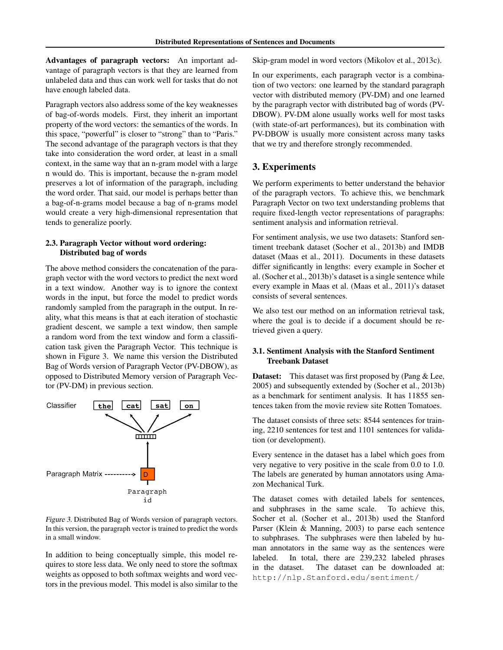Advantages of paragraph vectors: An important advantage of paragraph vectors is that they are learned from unlabeled data and thus can work well for tasks that do not have enough labeled data.

Paragraph vectors also address some of the key weaknesses of bag-of-words models. First, they inherit an important property of the word vectors: the semantics of the words. In this space, "powerful" is closer to "strong" than to "Paris." The second advantage of the paragraph vectors is that they take into consideration the word order, at least in a small context, in the same way that an n-gram model with a large n would do. This is important, because the n-gram model preserves a lot of information of the paragraph, including the word order. That said, our model is perhaps better than a bag-of-n-grams model because a bag of n-grams model would create a very high-dimensional representation that tends to generalize poorly.

#### 2.3. Paragraph Vector without word ordering: Distributed bag of words

The above method considers the concatenation of the paragraph vector with the word vectors to predict the next word in a text window. Another way is to ignore the context words in the input, but force the model to predict words randomly sampled from the paragraph in the output. In reality, what this means is that at each iteration of stochastic gradient descent, we sample a text window, then sample a random word from the text window and form a classification task given the Paragraph Vector. This technique is shown in Figure 3. We name this version the Distributed Bag of Words version of Paragraph Vector (PV-DBOW), as opposed to Distributed Memory version of Paragraph Vector (PV-DM) in previous section.



Figure 3. Distributed Bag of Words version of paragraph vectors. In this version, the paragraph vector is trained to predict the words in a small window.

In addition to being conceptually simple, this model requires to store less data. We only need to store the softmax weights as opposed to both softmax weights and word vectors in the previous model. This model is also similar to the Skip-gram model in word vectors (Mikolov et al., 2013c).

In our experiments, each paragraph vector is a combination of two vectors: one learned by the standard paragraph vector with distributed memory (PV-DM) and one learned by the paragraph vector with distributed bag of words (PV-DBOW). PV-DM alone usually works well for most tasks (with state-of-art performances), but its combination with PV-DBOW is usually more consistent across many tasks that we try and therefore strongly recommended.

## 3. Experiments

We perform experiments to better understand the behavior of the paragraph vectors. To achieve this, we benchmark Paragraph Vector on two text understanding problems that require fixed-length vector representations of paragraphs: sentiment analysis and information retrieval.

For sentiment analysis, we use two datasets: Stanford sentiment treebank dataset (Socher et al., 2013b) and IMDB dataset (Maas et al., 2011). Documents in these datasets differ significantly in lengths: every example in Socher et al. (Socher et al., 2013b)'s dataset is a single sentence while every example in Maas et al. (Maas et al., 2011)'s dataset consists of several sentences.

We also test our method on an information retrieval task, where the goal is to decide if a document should be retrieved given a query.

## 3.1. Sentiment Analysis with the Stanford Sentiment Treebank Dataset

**Dataset:** This dataset was first proposed by (Pang & Lee, 2005) and subsequently extended by (Socher et al., 2013b) as a benchmark for sentiment analysis. It has 11855 sentences taken from the movie review site Rotten Tomatoes.

The dataset consists of three sets: 8544 sentences for training, 2210 sentences for test and 1101 sentences for validation (or development).

Every sentence in the dataset has a label which goes from very negative to very positive in the scale from 0.0 to 1.0. The labels are generated by human annotators using Amazon Mechanical Turk.

The dataset comes with detailed labels for sentences, and subphrases in the same scale. To achieve this, Socher et al. (Socher et al., 2013b) used the Stanford Parser (Klein & Manning, 2003) to parse each sentence to subphrases. The subphrases were then labeled by human annotators in the same way as the sentences were labeled. In total, there are 239,232 labeled phrases in the dataset. The dataset can be downloaded at: http://nlp.Stanford.edu/sentiment/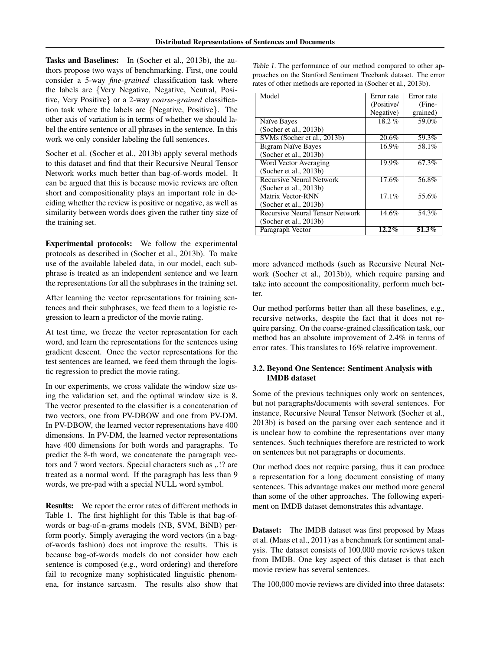Tasks and Baselines: In (Socher et al., 2013b), the authors propose two ways of benchmarking. First, one could consider a 5-way *fine-grained* classification task where the labels are {Very Negative, Negative, Neutral, Positive, Very Positive} or a 2-way *coarse-grained* classification task where the labels are {Negative, Positive}. The other axis of variation is in terms of whether we should label the entire sentence or all phrases in the sentence. In this work we only consider labeling the full sentences.

Socher et al. (Socher et al., 2013b) apply several methods to this dataset and find that their Recursive Neural Tensor Network works much better than bag-of-words model. It can be argued that this is because movie reviews are often short and compositionality plays an important role in deciding whether the review is positive or negative, as well as similarity between words does given the rather tiny size of the training set.

Experimental protocols: We follow the experimental protocols as described in (Socher et al., 2013b). To make use of the available labeled data, in our model, each subphrase is treated as an independent sentence and we learn the representations for all the subphrases in the training set.

After learning the vector representations for training sentences and their subphrases, we feed them to a logistic regression to learn a predictor of the movie rating.

At test time, we freeze the vector representation for each word, and learn the representations for the sentences using gradient descent. Once the vector representations for the test sentences are learned, we feed them through the logistic regression to predict the movie rating.

In our experiments, we cross validate the window size using the validation set, and the optimal window size is 8. The vector presented to the classifier is a concatenation of two vectors, one from PV-DBOW and one from PV-DM. In PV-DBOW, the learned vector representations have 400 dimensions. In PV-DM, the learned vector representations have 400 dimensions for both words and paragraphs. To predict the 8-th word, we concatenate the paragraph vectors and 7 word vectors. Special characters such as ,.!? are treated as a normal word. If the paragraph has less than 9 words, we pre-pad with a special NULL word symbol.

Results: We report the error rates of different methods in Table 1. The first highlight for this Table is that bag-ofwords or bag-of-n-grams models (NB, SVM, BiNB) perform poorly. Simply averaging the word vectors (in a bagof-words fashion) does not improve the results. This is because bag-of-words models do not consider how each sentence is composed (e.g., word ordering) and therefore fail to recognize many sophisticated linguistic phenomena, for instance sarcasm. The results also show that

Table 1. The performance of our method compared to other approaches on the Stanford Sentiment Treebank dataset. The error rates of other methods are reported in (Socher et al., 2013b).

| Model                                  | Error rate | Error rate |
|----------------------------------------|------------|------------|
|                                        | (Positive/ | (Fine-     |
|                                        | Negative)  | grained)   |
| Naïve Bayes                            | $18.2 \%$  | 59.0%      |
| (Socher et al., 2013b)                 |            |            |
| SVMs (Socher et al., 2013b)            | 20.6%      | 59.3%      |
| <b>Bigram Naïve Bayes</b>              | 16.9%      | 58.1%      |
| (Socher et al., 2013b)                 |            |            |
| Word Vector Averaging                  | 19.9%      | 67.3%      |
| (Socher et al., 2013b)                 |            |            |
| <b>Recursive Neural Network</b>        | 17.6%      | 56.8%      |
| (Socher et al., $2013b$ )              |            |            |
| Matrix Vector-RNN                      | 17.1%      | 55.6%      |
| (Socher et al., 2013b)                 |            |            |
| <b>Recursive Neural Tensor Network</b> | 14.6%      | 54.3%      |
| (Socher et al., 2013b)                 |            |            |
| Paragraph Vector                       | $12.2\%$   | 51.3%      |

more advanced methods (such as Recursive Neural Network (Socher et al., 2013b)), which require parsing and take into account the compositionality, perform much better.

Our method performs better than all these baselines, e.g., recursive networks, despite the fact that it does not require parsing. On the coarse-grained classification task, our method has an absolute improvement of 2.4% in terms of error rates. This translates to 16% relative improvement.

#### 3.2. Beyond One Sentence: Sentiment Analysis with IMDB dataset

Some of the previous techniques only work on sentences, but not paragraphs/documents with several sentences. For instance, Recursive Neural Tensor Network (Socher et al., 2013b) is based on the parsing over each sentence and it is unclear how to combine the representations over many sentences. Such techniques therefore are restricted to work on sentences but not paragraphs or documents.

Our method does not require parsing, thus it can produce a representation for a long document consisting of many sentences. This advantage makes our method more general than some of the other approaches. The following experiment on IMDB dataset demonstrates this advantage.

**Dataset:** The IMDB dataset was first proposed by Maas et al. (Maas et al., 2011) as a benchmark for sentiment analysis. The dataset consists of 100,000 movie reviews taken from IMDB. One key aspect of this dataset is that each movie review has several sentences.

The 100,000 movie reviews are divided into three datasets: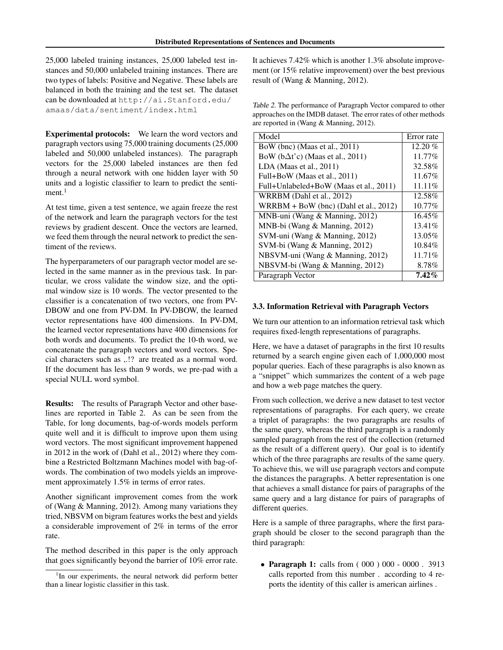25,000 labeled training instances, 25,000 labeled test instances and 50,000 unlabeled training instances. There are two types of labels: Positive and Negative. These labels are balanced in both the training and the test set. The dataset can be downloaded at http://ai.Stanford.edu/ amaas/data/sentiment/index.html

Experimental protocols: We learn the word vectors and paragraph vectors using 75,000 training documents (25,000 labeled and 50,000 unlabeled instances). The paragraph vectors for the 25,000 labeled instances are then fed through a neural network with one hidden layer with 50 units and a logistic classifier to learn to predict the senti $ment.<sup>1</sup>$ 

At test time, given a test sentence, we again freeze the rest of the network and learn the paragraph vectors for the test reviews by gradient descent. Once the vectors are learned, we feed them through the neural network to predict the sentiment of the reviews.

The hyperparameters of our paragraph vector model are selected in the same manner as in the previous task. In particular, we cross validate the window size, and the optimal window size is 10 words. The vector presented to the classifier is a concatenation of two vectors, one from PV-DBOW and one from PV-DM. In PV-DBOW, the learned vector representations have 400 dimensions. In PV-DM, the learned vector representations have 400 dimensions for both words and documents. To predict the 10-th word, we concatenate the paragraph vectors and word vectors. Special characters such as ,.!? are treated as a normal word. If the document has less than 9 words, we pre-pad with a special NULL word symbol.

Results: The results of Paragraph Vector and other baselines are reported in Table 2. As can be seen from the Table, for long documents, bag-of-words models perform quite well and it is difficult to improve upon them using word vectors. The most significant improvement happened in 2012 in the work of (Dahl et al., 2012) where they combine a Restricted Boltzmann Machines model with bag-ofwords. The combination of two models yields an improvement approximately 1.5% in terms of error rates.

Another significant improvement comes from the work of (Wang & Manning, 2012). Among many variations they tried, NBSVM on bigram features works the best and yields a considerable improvement of 2% in terms of the error rate.

The method described in this paper is the only approach that goes significantly beyond the barrier of 10% error rate.

It achieves 7.42% which is another 1.3% absolute improvement (or 15% relative improvement) over the best previous result of (Wang & Manning, 2012).

Table 2. The performance of Paragraph Vector compared to other approaches on the IMDB dataset. The error rates of other methods are reported in (Wang & Manning, 2012).

| Model                                     | Error rate |
|-------------------------------------------|------------|
| BoW (bnc) (Maas et al., 2011)             | $12.20\%$  |
| BoW ( $b\Delta t$ 'c) (Maas et al., 2011) | 11.77%     |
| $LDA$ (Maas et al., 2011)                 | 32.58%     |
| Full+BoW (Maas et al., 2011)              | 11.67%     |
| Full+Unlabeled+BoW (Maas et al., 2011)    | 11.11%     |
| WRRBM (Dahl et al., 2012)                 | 12.58%     |
| $WRRBM + BoW$ (bnc) (Dahl et al., 2012)   | $10.77\%$  |
| MNB-uni (Wang & Manning, 2012)            | 16.45%     |
| MNB-bi (Wang & Manning, 2012)             | 13.41%     |
| SVM-uni (Wang & Manning, 2012)            | 13.05%     |
| SVM-bi (Wang & Manning, 2012)             | 10.84%     |
| NBSVM-uni (Wang & Manning, 2012)          | 11.71%     |
| NBSVM-bi (Wang & Manning, 2012)           | 8.78%      |
| Paragraph Vector                          | $7.42\%$   |

#### 3.3. Information Retrieval with Paragraph Vectors

We turn our attention to an information retrieval task which requires fixed-length representations of paragraphs.

Here, we have a dataset of paragraphs in the first 10 results returned by a search engine given each of 1,000,000 most popular queries. Each of these paragraphs is also known as a "snippet" which summarizes the content of a web page and how a web page matches the query.

From such collection, we derive a new dataset to test vector representations of paragraphs. For each query, we create a triplet of paragraphs: the two paragraphs are results of the same query, whereas the third paragraph is a randomly sampled paragraph from the rest of the collection (returned as the result of a different query). Our goal is to identify which of the three paragraphs are results of the same query. To achieve this, we will use paragraph vectors and compute the distances the paragraphs. A better representation is one that achieves a small distance for pairs of paragraphs of the same query and a larg distance for pairs of paragraphs of different queries.

Here is a sample of three paragraphs, where the first paragraph should be closer to the second paragraph than the third paragraph:

• Paragraph 1: calls from (000) 000 - 0000. 3913 calls reported from this number . according to 4 reports the identity of this caller is american airlines .

<sup>&</sup>lt;sup>1</sup>In our experiments, the neural network did perform better than a linear logistic classifier in this task.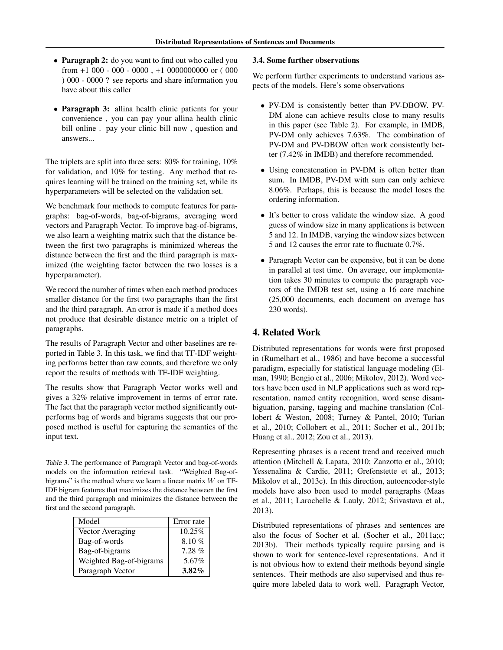- Paragraph 2: do you want to find out who called you from  $+1000 - 000 - 0000$ ,  $+10000000000$  or (000 ) 000 - 0000 ? see reports and share information you have about this caller
- Paragraph 3: allina health clinic patients for your convenience , you can pay your allina health clinic bill online . pay your clinic bill now , question and answers...

The triplets are split into three sets: 80% for training, 10% for validation, and 10% for testing. Any method that requires learning will be trained on the training set, while its hyperparameters will be selected on the validation set.

We benchmark four methods to compute features for paragraphs: bag-of-words, bag-of-bigrams, averaging word vectors and Paragraph Vector. To improve bag-of-bigrams, we also learn a weighting matrix such that the distance between the first two paragraphs is minimized whereas the distance between the first and the third paragraph is maximized (the weighting factor between the two losses is a hyperparameter).

We record the number of times when each method produces smaller distance for the first two paragraphs than the first and the third paragraph. An error is made if a method does not produce that desirable distance metric on a triplet of paragraphs.

The results of Paragraph Vector and other baselines are reported in Table 3. In this task, we find that TF-IDF weighting performs better than raw counts, and therefore we only report the results of methods with TF-IDF weighting.

The results show that Paragraph Vector works well and gives a 32% relative improvement in terms of error rate. The fact that the paragraph vector method significantly outperforms bag of words and bigrams suggests that our proposed method is useful for capturing the semantics of the input text.

Table 3. The performance of Paragraph Vector and bag-of-words models on the information retrieval task. "Weighted Bag-ofbigrams" is the method where we learn a linear matrix  $W$  on TF-IDF bigram features that maximizes the distance between the first and the third paragraph and minimizes the distance between the first and the second paragraph.

| Model                   | Error rate |
|-------------------------|------------|
| Vector Averaging        | 10.25%     |
| Bag-of-words            | $8.10 \%$  |
| Bag-of-bigrams          | 7.28%      |
| Weighted Bag-of-bigrams | 5.67%      |
| Paragraph Vector        | $3.82\%$   |

#### 3.4. Some further observations

We perform further experiments to understand various aspects of the models. Here's some observations

- PV-DM is consistently better than PV-DBOW. PV-DM alone can achieve results close to many results in this paper (see Table 2). For example, in IMDB, PV-DM only achieves 7.63%. The combination of PV-DM and PV-DBOW often work consistently better (7.42% in IMDB) and therefore recommended.
- Using concatenation in PV-DM is often better than sum. In IMDB, PV-DM with sum can only achieve 8.06%. Perhaps, this is because the model loses the ordering information.
- It's better to cross validate the window size. A good guess of window size in many applications is between 5 and 12. In IMDB, varying the window sizes between 5 and 12 causes the error rate to fluctuate 0.7%.
- Paragraph Vector can be expensive, but it can be done in parallel at test time. On average, our implementation takes 30 minutes to compute the paragraph vectors of the IMDB test set, using a 16 core machine (25,000 documents, each document on average has 230 words).

## 4. Related Work

Distributed representations for words were first proposed in (Rumelhart et al., 1986) and have become a successful paradigm, especially for statistical language modeling (Elman, 1990; Bengio et al., 2006; Mikolov, 2012). Word vectors have been used in NLP applications such as word representation, named entity recognition, word sense disambiguation, parsing, tagging and machine translation (Collobert & Weston, 2008; Turney & Pantel, 2010; Turian et al., 2010; Collobert et al., 2011; Socher et al., 2011b; Huang et al., 2012; Zou et al., 2013).

Representing phrases is a recent trend and received much attention (Mitchell & Lapata, 2010; Zanzotto et al., 2010; Yessenalina & Cardie, 2011; Grefenstette et al., 2013; Mikolov et al., 2013c). In this direction, autoencoder-style models have also been used to model paragraphs (Maas et al., 2011; Larochelle & Lauly, 2012; Srivastava et al., 2013).

Distributed representations of phrases and sentences are also the focus of Socher et al. (Socher et al., 2011a;c; 2013b). Their methods typically require parsing and is shown to work for sentence-level representations. And it is not obvious how to extend their methods beyond single sentences. Their methods are also supervised and thus require more labeled data to work well. Paragraph Vector,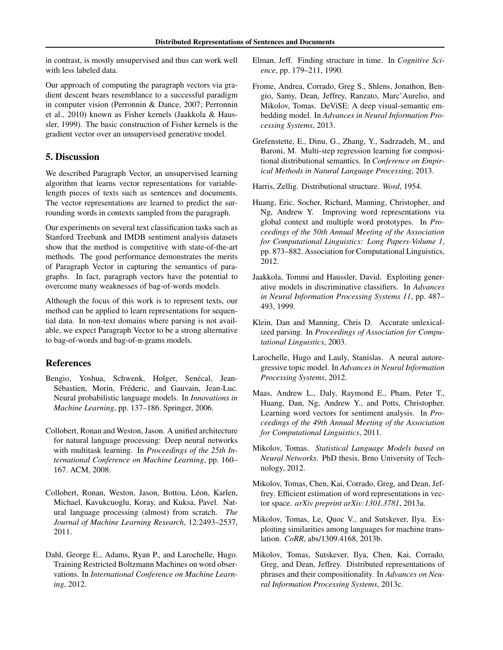in contrast, is mostly unsupervised and thus can work well with less labeled data.

Our approach of computing the paragraph vectors via gradient descent bears resemblance to a successful paradigm in computer vision (Perronnin & Dance, 2007; Perronnin et al., 2010) known as Fisher kernels (Jaakkola & Haussler, 1999). The basic construction of Fisher kernels is the gradient vector over an unsupervised generative model.

## 5. Discussion

We described Paragraph Vector, an unsupervised learning algorithm that learns vector representations for variablelength pieces of texts such as sentences and documents. The vector representations are learned to predict the surrounding words in contexts sampled from the paragraph.

Our experiments on several text classification tasks such as Stanford Treebank and IMDB sentiment analysis datasets show that the method is competitive with state-of-the-art methods. The good performance demonstrates the merits of Paragraph Vector in capturing the semantics of paragraphs. In fact, paragraph vectors have the potential to overcome many weaknesses of bag-of-words models.

Although the focus of this work is to represent texts, our method can be applied to learn representations for sequential data. In non-text domains where parsing is not available, we expect Paragraph Vector to be a strong alternative to bag-of-words and bag-of-n-grams models.

## References

- Bengio, Yoshua, Schwenk, Holger, Senécal, Jean-Sébastien, Morin, Fréderic, and Gauvain, Jean-Luc. Neural probabilistic language models. In *Innovations in Machine Learning*, pp. 137–186. Springer, 2006.
- Collobert, Ronan and Weston, Jason. A unified architecture for natural language processing: Deep neural networks with multitask learning. In *Proceedings of the 25th International Conference on Machine Learning*, pp. 160– 167. ACM, 2008.
- Collobert, Ronan, Weston, Jason, Bottou, Léon, Karlen, Michael, Kavukcuoglu, Koray, and Kuksa, Pavel. Natural language processing (almost) from scratch. *The Journal of Machine Learning Research*, 12:2493–2537, 2011.
- Dahl, George E., Adams, Ryan P., and Larochelle, Hugo. Training Restricted Boltzmann Machines on word observations. In *International Conference on Machine Learning*, 2012.
- Elman, Jeff. Finding structure in time. In *Cognitive Science*, pp. 179–211, 1990.
- Frome, Andrea, Corrado, Greg S., Shlens, Jonathon, Bengio, Samy, Dean, Jeffrey, Ranzato, Marc'Aurelio, and Mikolov, Tomas. DeViSE: A deep visual-semantic embedding model. In *Advances in Neural Information Processing Systems*, 2013.
- Grefenstette, E., Dinu, G., Zhang, Y., Sadrzadeh, M., and Baroni, M. Multi-step regression learning for compositional distributional semantics. In *Conference on Empirical Methods in Natural Language Processing*, 2013.

Harris, Zellig. Distributional structure. *Word*, 1954.

- Huang, Eric, Socher, Richard, Manning, Christopher, and Ng, Andrew Y. Improving word representations via global context and multiple word prototypes. In *Proceedings of the 50th Annual Meeting of the Association for Computational Linguistics: Long Papers-Volume 1*, pp. 873–882. Association for Computational Linguistics, 2012.
- Jaakkola, Tommi and Haussler, David. Exploiting generative models in discriminative classifiers. In *Advances in Neural Information Processing Systems 11*, pp. 487– 493, 1999.
- Klein, Dan and Manning, Chris D. Accurate unlexicalized parsing. In *Proceedings of Association for Computational Linguistics*, 2003.
- Larochelle, Hugo and Lauly, Stanislas. A neural autoregressive topic model. In *Advances in Neural Information Processing Systems*, 2012.
- Maas, Andrew L., Daly, Raymond E., Pham, Peter T., Huang, Dan, Ng, Andrew Y., and Potts, Christopher. Learning word vectors for sentiment analysis. In *Proceedings of the 49th Annual Meeting of the Association for Computational Linguistics*, 2011.
- Mikolov, Tomas. *Statistical Language Models based on Neural Networks*. PhD thesis, Brno University of Technology, 2012.
- Mikolov, Tomas, Chen, Kai, Corrado, Greg, and Dean, Jeffrey. Efficient estimation of word representations in vector space. *arXiv preprint arXiv:1301.3781*, 2013a.
- Mikolov, Tomas, Le, Quoc V., and Sutskever, Ilya. Exploiting similarities among languages for machine translation. *CoRR*, abs/1309.4168, 2013b.
- Mikolov, Tomas, Sutskever, Ilya, Chen, Kai, Corrado, Greg, and Dean, Jeffrey. Distributed representations of phrases and their compositionality. In *Advances on Neural Information Processing Systems*, 2013c.